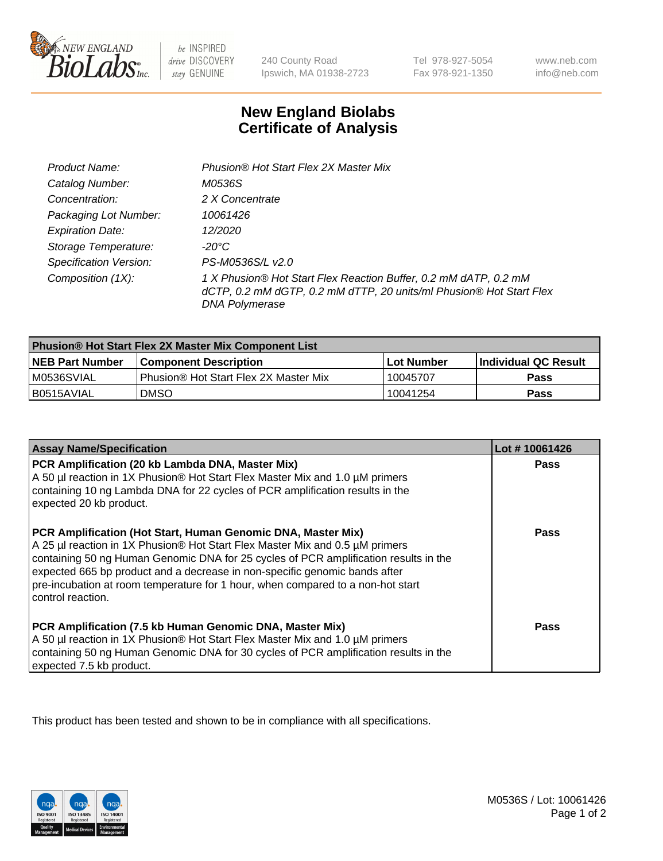

be INSPIRED drive DISCOVERY stay GENUINE

240 County Road Ipswich, MA 01938-2723

Tel 978-927-5054 Fax 978-921-1350

www.neb.com info@neb.com

## **New England Biolabs Certificate of Analysis**

| Product Name:                 | Phusion® Hot Start Flex 2X Master Mix                                                                                                                     |
|-------------------------------|-----------------------------------------------------------------------------------------------------------------------------------------------------------|
| Catalog Number:               | M0536S                                                                                                                                                    |
| Concentration:                | 2 X Concentrate                                                                                                                                           |
| Packaging Lot Number:         | 10061426                                                                                                                                                  |
| <b>Expiration Date:</b>       | 12/2020                                                                                                                                                   |
| Storage Temperature:          | -20°C                                                                                                                                                     |
| <b>Specification Version:</b> | PS-M0536S/L v2.0                                                                                                                                          |
| Composition (1X):             | 1 X Phusion® Hot Start Flex Reaction Buffer, 0.2 mM dATP, 0.2 mM<br>dCTP, 0.2 mM dGTP, 0.2 mM dTTP, 20 units/ml Phusion® Hot Start Flex<br>DNA Polymerase |

| <b>Phusion® Hot Start Flex 2X Master Mix Component List</b> |                                       |              |                       |  |
|-------------------------------------------------------------|---------------------------------------|--------------|-----------------------|--|
| <b>NEB Part Number</b>                                      | <b>Component Description</b>          | l Lot Number | ∣Individual QC Result |  |
| M0536SVIAL                                                  | Phusion® Hot Start Flex 2X Master Mix | 10045707     | Pass                  |  |
| I B0515AVIAL                                                | <b>DMSO</b>                           | 10041254     | <b>Pass</b>           |  |

| <b>Assay Name/Specification</b>                                                                                                                                                                                                                                                                                                                                                                                            | Lot #10061426 |
|----------------------------------------------------------------------------------------------------------------------------------------------------------------------------------------------------------------------------------------------------------------------------------------------------------------------------------------------------------------------------------------------------------------------------|---------------|
| PCR Amplification (20 kb Lambda DNA, Master Mix)<br>A 50 µl reaction in 1X Phusion® Hot Start Flex Master Mix and 1.0 µM primers<br>containing 10 ng Lambda DNA for 22 cycles of PCR amplification results in the<br>expected 20 kb product.                                                                                                                                                                               | <b>Pass</b>   |
| PCR Amplification (Hot Start, Human Genomic DNA, Master Mix)<br>A 25 µl reaction in 1X Phusion® Hot Start Flex Master Mix and 0.5 µM primers<br>containing 50 ng Human Genomic DNA for 25 cycles of PCR amplification results in the<br>expected 665 bp product and a decrease in non-specific genomic bands after<br>pre-incubation at room temperature for 1 hour, when compared to a non-hot start<br>control reaction. | Pass          |
| PCR Amplification (7.5 kb Human Genomic DNA, Master Mix)<br>A 50 µl reaction in 1X Phusion® Hot Start Flex Master Mix and 1.0 µM primers<br>containing 50 ng Human Genomic DNA for 30 cycles of PCR amplification results in the<br>expected 7.5 kb product.                                                                                                                                                               | Pass          |

This product has been tested and shown to be in compliance with all specifications.